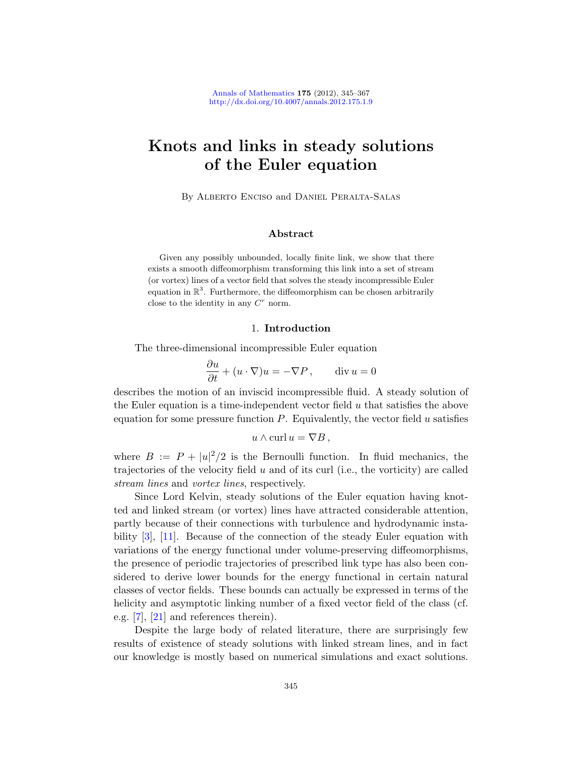# Knots and links in steady solutions of the Euler equation

By Alberto Enciso and Daniel Peralta-Salas

## Abstract

Given any possibly unbounded, locally finite link, we show that there exists a smooth diffeomorphism transforming this link into a set of stream (or vortex) lines of a vector field that solves the steady incompressible Euler equation in  $\mathbb{R}^3$ . Furthermore, the diffeomorphism can be chosen arbitrarily close to the identity in any  $C<sup>r</sup>$  norm.

## 1. Introduction

The three-dimensional incompressible Euler equation

$$
\frac{\partial u}{\partial t} + (u \cdot \nabla)u = -\nabla P, \qquad \text{div } u = 0
$$

describes the motion of an inviscid incompressible fluid. A steady solution of the Euler equation is a time-independent vector field  $u$  that satisfies the above equation for some pressure function  $P$ . Equivalently, the vector field u satisfies

$$
u \wedge \operatorname{curl} u = \nabla B \,,
$$

where  $B := P + |u|^2/2$  is the Bernoulli function. In fluid mechanics, the trajectories of the velocity field  $u$  and of its curl (i.e., the vorticity) are called stream lines and vortex lines, respectively.

Since Lord Kelvin, steady solutions of the Euler equation having knotted and linked stream (or vortex) lines have attracted considerable attention, partly because of their connections with turbulence and hydrodynamic instability [\[3\]](#page-21-0), [\[11\]](#page-21-1). Because of the connection of the steady Euler equation with variations of the energy functional under volume-preserving diffeomorphisms, the presence of periodic trajectories of prescribed link type has also been considered to derive lower bounds for the energy functional in certain natural classes of vector fields. These bounds can actually be expressed in terms of the helicity and asymptotic linking number of a fixed vector field of the class (cf. e.g. [\[7\]](#page-21-2), [\[21\]](#page-22-0) and references therein).

Despite the large body of related literature, there are surprisingly few results of existence of steady solutions with linked stream lines, and in fact our knowledge is mostly based on numerical simulations and exact solutions.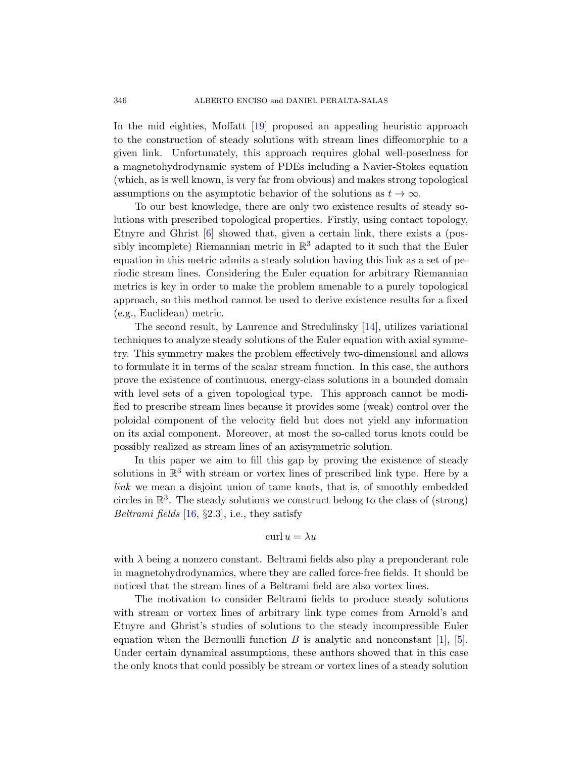In the mid eighties, Moffatt [\[19\]](#page-22-1) proposed an appealing heuristic approach to the construction of steady solutions with stream lines diffeomorphic to a given link. Unfortunately, this approach requires global well-posedness for a magnetohydrodynamic system of PDEs including a Navier-Stokes equation (which, as is well known, is very far from obvious) and makes strong topological assumptions on the asymptotic behavior of the solutions as  $t \to \infty$ .

To our best knowledge, there are only two existence results of steady solutions with prescribed topological properties. Firstly, using contact topology, Etnyre and Ghrist [\[6\]](#page-21-3) showed that, given a certain link, there exists a (possibly incomplete) Riemannian metric in  $\mathbb{R}^3$  adapted to it such that the Euler equation in this metric admits a steady solution having this link as a set of periodic stream lines. Considering the Euler equation for arbitrary Riemannian metrics is key in order to make the problem amenable to a purely topological approach, so this method cannot be used to derive existence results for a fixed (e.g., Euclidean) metric.

The second result, by Laurence and Stredulinsky [\[14\]](#page-22-2), utilizes variational techniques to analyze steady solutions of the Euler equation with axial symmetry. This symmetry makes the problem effectively two-dimensional and allows to formulate it in terms of the scalar stream function. In this case, the authors prove the existence of continuous, energy-class solutions in a bounded domain with level sets of a given topological type. This approach cannot be modified to prescribe stream lines because it provides some (weak) control over the poloidal component of the velocity field but does not yield any information on its axial component. Moreover, at most the so-called torus knots could be possibly realized as stream lines of an axisymmetric solution.

In this paper we aim to fill this gap by proving the existence of steady solutions in  $\mathbb{R}^3$  with stream or vortex lines of prescribed link type. Here by a link we mean a disjoint union of tame knots, that is, of smoothly embedded circles in  $\mathbb{R}^3$ . The steady solutions we construct belong to the class of (strong) Beltrami fields  $[16, §2.3]$  $[16, §2.3]$ , i.e., they satisfy

## curl  $u = \lambda u$

with  $\lambda$  being a nonzero constant. Beltrami fields also play a preponderant role in magnetohydrodynamics, where they are called force-free fields. It should be noticed that the stream lines of a Beltrami field are also vortex lines.

The motivation to consider Beltrami fields to produce steady solutions with stream or vortex lines of arbitrary link type comes from Arnold's and Etnyre and Ghrist's studies of solutions to the steady incompressible Euler equation when the Bernoulli function  $B$  is analytic and nonconstant [\[1\]](#page-21-4), [\[5\]](#page-21-5). Under certain dynamical assumptions, these authors showed that in this case the only knots that could possibly be stream or vortex lines of a steady solution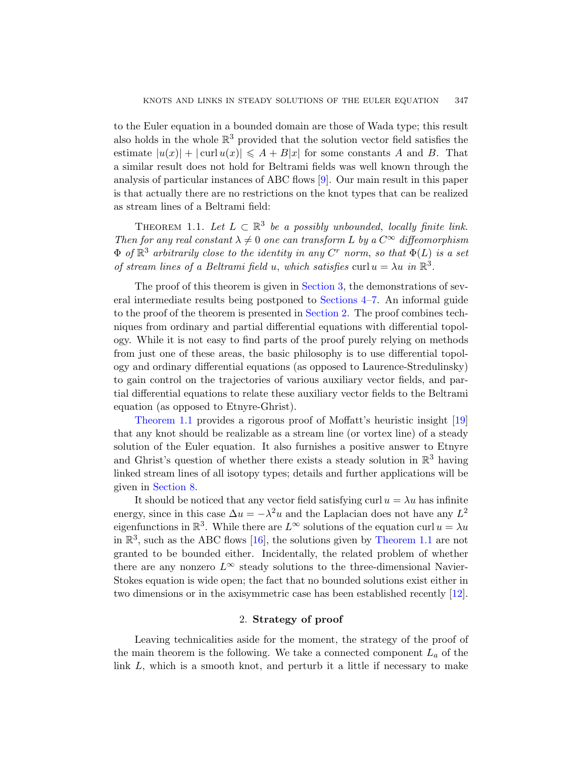to the Euler equation in a bounded domain are those of Wada type; this result also holds in the whole  $\mathbb{R}^3$  provided that the solution vector field satisfies the estimate  $|u(x)| + |\text{curl } u(x)| \leq A + B|x|$  for some constants A and B. That a similar result does not hold for Beltrami fields was well known through the analysis of particular instances of ABC flows [\[9\]](#page-21-6). Our main result in this paper is that actually there are no restrictions on the knot types that can be realized as stream lines of a Beltrami field:

<span id="page-2-1"></span>THEOREM 1.1. Let  $L \subset \mathbb{R}^3$  be a possibly unbounded, locally finite link. Then for any real constant  $\lambda \neq 0$  one can transform L by a  $C^{\infty}$  diffeomorphism  $\Phi$  of  $\mathbb{R}^3$  arbitrarily close to the identity in any  $C^r$  norm, so that  $\Phi(L)$  is a set of stream lines of a Beltrami field u, which satisfies curl  $u = \lambda u$  in  $\mathbb{R}^3$ .

The proof of this theorem is given in [Section 3,](#page-4-0) the demonstrations of several intermediate results being postponed to [Sections 4–](#page-10-0)[7.](#page-16-0) An informal guide to the proof of the theorem is presented in [Section 2.](#page-2-0) The proof combines techniques from ordinary and partial differential equations with differential topology. While it is not easy to find parts of the proof purely relying on methods from just one of these areas, the basic philosophy is to use differential topology and ordinary differential equations (as opposed to Laurence-Stredulinsky) to gain control on the trajectories of various auxiliary vector fields, and partial differential equations to relate these auxiliary vector fields to the Beltrami equation (as opposed to Etnyre-Ghrist).

[Theorem 1.1](#page-2-1) provides a rigorous proof of Moffatt's heuristic insight [\[19\]](#page-22-1) that any knot should be realizable as a stream line (or vortex line) of a steady solution of the Euler equation. It also furnishes a positive answer to Etnyre and Ghrist's question of whether there exists a steady solution in  $\mathbb{R}^3$  having linked stream lines of all isotopy types; details and further applications will be given in [Section 8.](#page-19-0)

It should be noticed that any vector field satisfying curl  $u = \lambda u$  has infinite energy, since in this case  $\Delta u = -\lambda^2 u$  and the Laplacian does not have any  $L^2$ eigenfunctions in  $\mathbb{R}^3$ . While there are  $L^{\infty}$  solutions of the equation curl  $u = \lambda u$ in  $\mathbb{R}^3$ , such as the ABC flows [\[16\]](#page-22-3), the solutions given by [Theorem 1.1](#page-2-1) are not granted to be bounded either. Incidentally, the related problem of whether there are any nonzero  $L^{\infty}$  steady solutions to the three-dimensional Navier-Stokes equation is wide open; the fact that no bounded solutions exist either in two dimensions or in the axisymmetric case has been established recently [\[12\]](#page-22-4).

#### 2. Strategy of proof

<span id="page-2-0"></span>Leaving technicalities aside for the moment, the strategy of the proof of the main theorem is the following. We take a connected component  $L_a$  of the link  $L$ , which is a smooth knot, and perturb it a little if necessary to make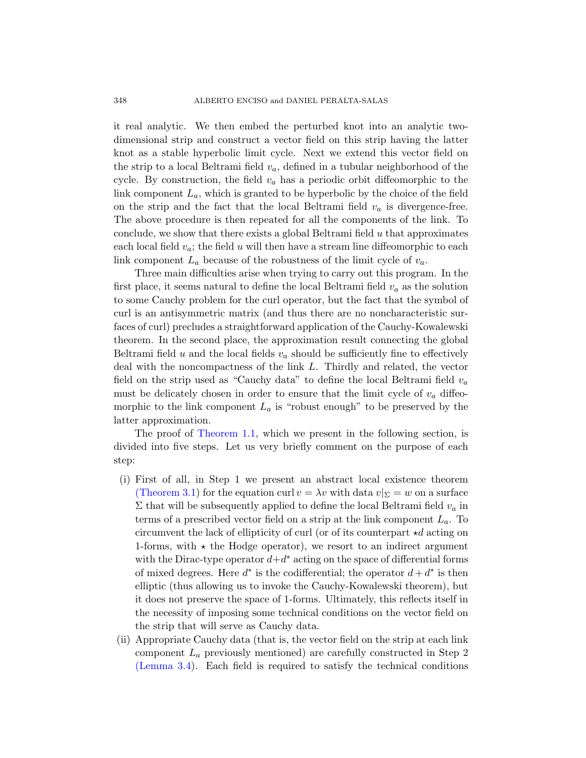it real analytic. We then embed the perturbed knot into an analytic twodimensional strip and construct a vector field on this strip having the latter knot as a stable hyperbolic limit cycle. Next we extend this vector field on the strip to a local Beltrami field  $v_a$ , defined in a tubular neighborhood of the cycle. By construction, the field  $v_a$  has a periodic orbit diffeomorphic to the link component  $L_a$ , which is granted to be hyperbolic by the choice of the field on the strip and the fact that the local Beltrami field  $v_a$  is divergence-free. The above procedure is then repeated for all the components of the link. To conclude, we show that there exists a global Beltrami field  $u$  that approximates each local field  $v_a$ ; the field u will then have a stream line diffeomorphic to each link component  $L_a$  because of the robustness of the limit cycle of  $v_a$ .

Three main difficulties arise when trying to carry out this program. In the first place, it seems natural to define the local Beltrami field  $v_a$  as the solution to some Cauchy problem for the curl operator, but the fact that the symbol of curl is an antisymmetric matrix (and thus there are no noncharacteristic surfaces of curl) precludes a straightforward application of the Cauchy-Kowalewski theorem. In the second place, the approximation result connecting the global Beltrami field  $u$  and the local fields  $v_a$  should be sufficiently fine to effectively deal with the noncompactness of the link L. Thirdly and related, the vector field on the strip used as "Cauchy data" to define the local Beltrami field  $v_a$ must be delicately chosen in order to ensure that the limit cycle of  $v_a$  diffeomorphic to the link component  $L_a$  is "robust enough" to be preserved by the latter approximation.

The proof of [Theorem 1.1,](#page-2-1) which we present in the following section, is divided into five steps. Let us very briefly comment on the purpose of each step:

- (i) First of all, in Step 1 we present an abstract local existence theorem [\(Theorem 3.1\)](#page-5-0) for the equation curl  $v = \lambda v$  with data  $v|_{\Sigma} = w$  on a surface  $\Sigma$  that will be subsequently applied to define the local Beltrami field  $v_a$  in terms of a prescribed vector field on a strip at the link component  $L_a$ . To circumvent the lack of ellipticity of curl (or of its counterpart  $\star d$  acting on 1-forms, with  $\star$  the Hodge operator), we resort to an indirect argument with the Dirac-type operator  $d+d^*$  acting on the space of differential forms of mixed degrees. Here  $d^*$  is the codifferential; the operator  $d + d^*$  is then elliptic (thus allowing us to invoke the Cauchy-Kowalewski theorem), but it does not preserve the space of 1-forms. Ultimately, this reflects itself in the necessity of imposing some technical conditions on the vector field on the strip that will serve as Cauchy data.
- (ii) Appropriate Cauchy data (that is, the vector field on the strip at each link component  $L_a$  previously mentioned) are carefully constructed in Step 2 [\(Lemma 3.4\)](#page-7-0). Each field is required to satisfy the technical conditions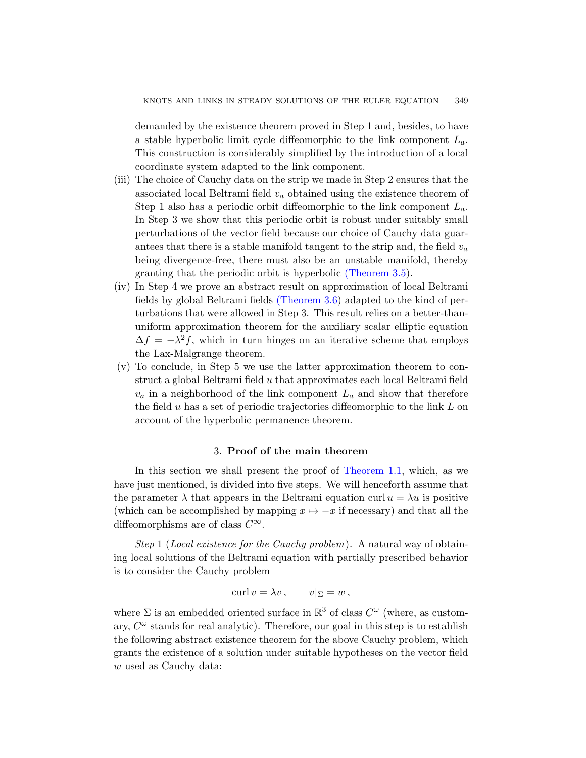demanded by the existence theorem proved in Step 1 and, besides, to have a stable hyperbolic limit cycle diffeomorphic to the link component  $L_a$ . This construction is considerably simplified by the introduction of a local coordinate system adapted to the link component.

- (iii) The choice of Cauchy data on the strip we made in Step 2 ensures that the associated local Beltrami field  $v_a$  obtained using the existence theorem of Step 1 also has a periodic orbit diffeomorphic to the link component  $L_a$ . In Step 3 we show that this periodic orbit is robust under suitably small perturbations of the vector field because our choice of Cauchy data guarantees that there is a stable manifold tangent to the strip and, the field  $v_a$ being divergence-free, there must also be an unstable manifold, thereby granting that the periodic orbit is hyperbolic [\(Theorem 3.5\)](#page-7-1).
- (iv) In Step 4 we prove an abstract result on approximation of local Beltrami fields by global Beltrami fields [\(Theorem 3.6\)](#page-8-0) adapted to the kind of perturbations that were allowed in Step 3. This result relies on a better-thanuniform approximation theorem for the auxiliary scalar elliptic equation  $\Delta f = -\lambda^2 f$ , which in turn hinges on an iterative scheme that employs the Lax-Malgrange theorem.
- (v) To conclude, in Step 5 we use the latter approximation theorem to construct a global Beltrami field  $u$  that approximates each local Beltrami field  $v_a$  in a neighborhood of the link component  $L_a$  and show that therefore the field u has a set of periodic trajectories diffeomorphic to the link  $L$  on account of the hyperbolic permanence theorem.

## 3. Proof of the main theorem

<span id="page-4-0"></span>In this section we shall present the proof of [Theorem 1.1,](#page-2-1) which, as we have just mentioned, is divided into five steps. We will henceforth assume that the parameter  $\lambda$  that appears in the Beltrami equation curl  $u = \lambda u$  is positive (which can be accomplished by mapping  $x \mapsto -x$  if necessary) and that all the diffeomorphisms are of class  $C^{\infty}$ .

Step 1 (Local existence for the Cauchy problem). A natural way of obtaining local solutions of the Beltrami equation with partially prescribed behavior is to consider the Cauchy problem

$$
\operatorname{curl} v = \lambda v, \qquad v|_{\Sigma} = w,
$$

where  $\Sigma$  is an embedded oriented surface in  $\mathbb{R}^3$  of class  $C^{\omega}$  (where, as customary,  $C^{\omega}$  stands for real analytic). Therefore, our goal in this step is to establish the following abstract existence theorem for the above Cauchy problem, which grants the existence of a solution under suitable hypotheses on the vector field w used as Cauchy data: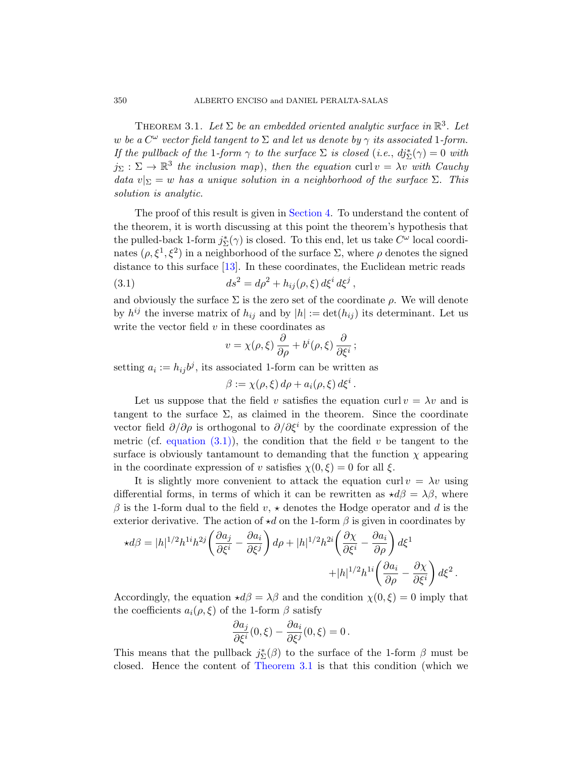<span id="page-5-0"></span>THEOREM 3.1. Let  $\Sigma$  be an embedded oriented analytic surface in  $\mathbb{R}^3$ . Let w be a  $C^{\omega}$  vector field tangent to  $\Sigma$  and let us denote by  $\gamma$  its associated 1-form. If the pullback of the 1-form  $\gamma$  to the surface  $\Sigma$  is closed (i.e.,  $dj_{\Sigma}^{*}(\gamma) = 0$  with  $j_{\Sigma}: \Sigma \to \mathbb{R}^3$  the inclusion map), then the equation curl  $v = \lambda v$  with Cauchy data  $v|_{\Sigma} = w$  has a unique solution in a neighborhood of the surface  $\Sigma$ . This solution is analytic.

The proof of this result is given in [Section 4.](#page-10-0) To understand the content of the theorem, it is worth discussing at this point the theorem's hypothesis that the pulled-back 1-form  $j_{\Sigma}^{*}(\gamma)$  is closed. To this end, let us take  $C^{\omega}$  local coordinates  $(\rho, \xi^1, \xi^2)$  in a neighborhood of the surface  $\Sigma$ , where  $\rho$  denotes the signed distance to this surface [\[13\]](#page-22-5). In these coordinates, the Euclidean metric reads

(3.1) 
$$
ds^2 = d\rho^2 + h_{ij}(\rho, \xi) d\xi^i d\xi^j,
$$

and obviously the surface  $\Sigma$  is the zero set of the coordinate  $\rho$ . We will denote by  $h^{ij}$  the inverse matrix of  $h_{ij}$  and by  $|h| := \det(h_{ij})$  its determinant. Let us write the vector field  $v$  in these coordinates as

<span id="page-5-1"></span>
$$
v = \chi(\rho, \xi) \frac{\partial}{\partial \rho} + b^i(\rho, \xi) \frac{\partial}{\partial \xi^i};
$$

setting  $a_i := h_{ij} b^j$ , its associated 1-form can be written as

$$
\beta := \chi(\rho, \xi) d\rho + a_i(\rho, \xi) d\xi^i.
$$

Let us suppose that the field v satisfies the equation curl  $v = \lambda v$  and is tangent to the surface  $\Sigma$ , as claimed in the theorem. Since the coordinate vector field  $\partial/\partial \rho$  is orthogonal to  $\partial/\partial \xi^i$  by the coordinate expression of the metric (cf. equation  $(3.1)$ ), the condition that the field v be tangent to the surface is obviously tantamount to demanding that the function  $\chi$  appearing in the coordinate expression of v satisfies  $\chi(0,\xi) = 0$  for all  $\xi$ .

It is slightly more convenient to attack the equation curl  $v = \lambda v$  using differential forms, in terms of which it can be rewritten as  $\star d\beta = \lambda \beta$ , where  $\beta$  is the 1-form dual to the field  $v, \star$  denotes the Hodge operator and d is the exterior derivative. The action of  $\star d$  on the 1-form  $\beta$  is given in coordinates by

$$
\star d\beta = |h|^{1/2} h^{1i} h^{2j} \left( \frac{\partial a_j}{\partial \xi^i} - \frac{\partial a_i}{\partial \xi^j} \right) d\rho + |h|^{1/2} h^{2i} \left( \frac{\partial \chi}{\partial \xi^i} - \frac{\partial a_i}{\partial \rho} \right) d\xi^1 + |h|^{1/2} h^{1i} \left( \frac{\partial a_i}{\partial \rho} - \frac{\partial \chi}{\partial \xi^i} \right) d\xi^2.
$$

Accordingly, the equation  $\star d\beta = \lambda \beta$  and the condition  $\chi(0, \xi) = 0$  imply that the coefficients  $a_i(\rho, \xi)$  of the 1-form  $\beta$  satisfy

$$
\frac{\partial a_j}{\partial \xi^i}(0,\xi) - \frac{\partial a_i}{\partial \xi^j}(0,\xi) = 0.
$$

This means that the pullback  $j_{\Sigma}^{*}(\beta)$  to the surface of the 1-form  $\beta$  must be closed. Hence the content of [Theorem 3.1](#page-5-0) is that this condition (which we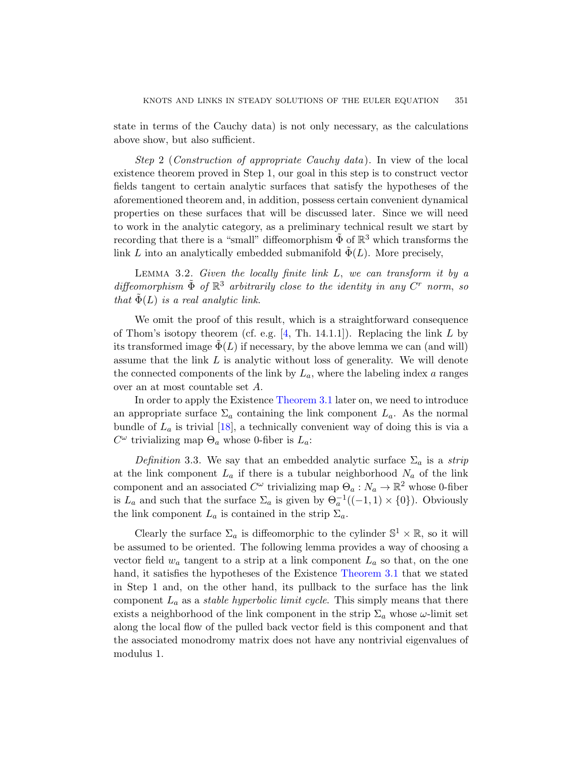state in terms of the Cauchy data) is not only necessary, as the calculations above show, but also sufficient.

Step 2 (Construction of appropriate Cauchy data). In view of the local existence theorem proved in Step 1, our goal in this step is to construct vector fields tangent to certain analytic surfaces that satisfy the hypotheses of the aforementioned theorem and, in addition, possess certain convenient dynamical properties on these surfaces that will be discussed later. Since we will need to work in the analytic category, as a preliminary technical result we start by recording that there is a "small" diffeomorphism  $\tilde{\Phi}$  of  $\mathbb{R}^3$  which transforms the link L into an analytically embedded submanifold  $\tilde{\Phi}(L)$ . More precisely,

LEMMA 3.2. Given the locally finite link  $L$ , we can transform it by a diffeomorphism  $\tilde{\Phi}$  of  $\mathbb{R}^3$  arbitrarily close to the identity in any  $C^r$  norm, so that  $\Phi(L)$  is a real analytic link.

We omit the proof of this result, which is a straightforward consequence of Thom's isotopy theorem (cf. e.g.  $[4, Th. 14.1.1]$ ). Replacing the link L by its transformed image  $\tilde{\Phi}(L)$  if necessary, by the above lemma we can (and will) assume that the link  $L$  is analytic without loss of generality. We will denote the connected components of the link by  $L_a$ , where the labeling index  $a$  ranges over an at most countable set A.

In order to apply the Existence [Theorem 3.1](#page-5-0) later on, we need to introduce an appropriate surface  $\Sigma_a$  containing the link component  $L_a$ . As the normal bundle of  $L_a$  is trivial [\[18\]](#page-22-6), a technically convenient way of doing this is via a  $C^{\omega}$  trivializing map  $\Theta_a$  whose 0-fiber is  $L_a$ :

Definition 3.3. We say that an embedded analytic surface  $\Sigma_a$  is a strip at the link component  $L_a$  if there is a tubular neighborhood  $N_a$  of the link component and an associated  $C^{\omega}$  trivializing map  $\Theta_a: N_a \to \mathbb{R}^2$  whose 0-fiber is  $L_a$  and such that the surface  $\Sigma_a$  is given by  $\Theta_a^{-1}((-1,1) \times \{0\})$ . Obviously the link component  $L_a$  is contained in the strip  $\Sigma_a$ .

Clearly the surface  $\Sigma_a$  is diffeomorphic to the cylinder  $\mathbb{S}^1 \times \mathbb{R}$ , so it will be assumed to be oriented. The following lemma provides a way of choosing a vector field  $w_a$  tangent to a strip at a link component  $L_a$  so that, on the one hand, it satisfies the hypotheses of the Existence [Theorem 3.1](#page-5-0) that we stated in Step 1 and, on the other hand, its pullback to the surface has the link component  $L_a$  as a *stable hyperbolic limit cycle*. This simply means that there exists a neighborhood of the link component in the strip  $\Sigma_a$  whose  $\omega$ -limit set along the local flow of the pulled back vector field is this component and that the associated monodromy matrix does not have any nontrivial eigenvalues of modulus 1.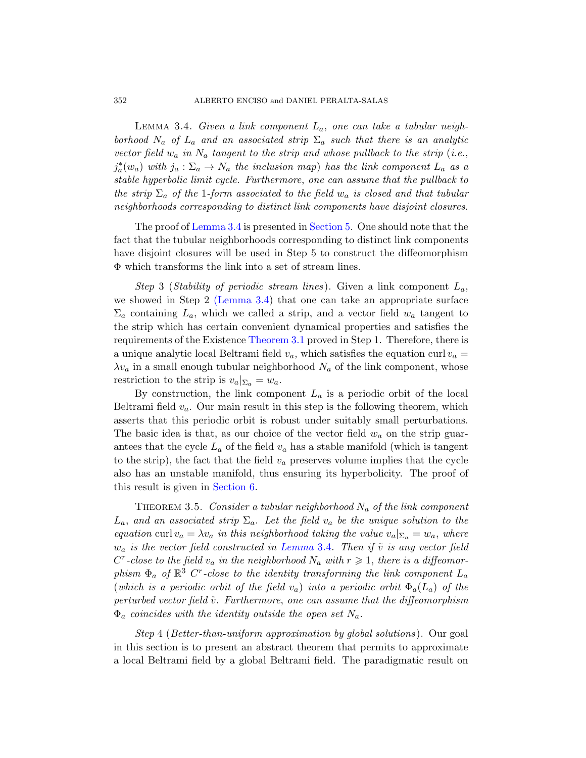<span id="page-7-0"></span>LEMMA 3.4. Given a link component  $L_a$ , one can take a tubular neighborhood  $N_a$  of  $L_a$  and an associated strip  $\Sigma_a$  such that there is an analytic vector field  $w_a$  in  $N_a$  tangent to the strip and whose pullback to the strip (i.e.,  $j_a^*(w_a)$  with  $j_a: \Sigma_a \to N_a$  the inclusion map) has the link component  $L_a$  as a stable hyperbolic limit cycle. Furthermore, one can assume that the pullback to the strip  $\Sigma_a$  of the 1-form associated to the field  $w_a$  is closed and that tubular neighborhoods corresponding to distinct link components have disjoint closures.

The proof of [Lemma 3.4](#page-7-0) is presented in [Section 5.](#page-12-0) One should note that the fact that the tubular neighborhoods corresponding to distinct link components have disjoint closures will be used in Step 5 to construct the diffeomorphism Φ which transforms the link into a set of stream lines.

Step 3 (Stability of periodic stream lines). Given a link component  $L_a$ , we showed in Step 2 [\(Lemma 3.4\)](#page-7-0) that one can take an appropriate surface  $\Sigma_a$  containing  $L_a$ , which we called a strip, and a vector field  $w_a$  tangent to the strip which has certain convenient dynamical properties and satisfies the requirements of the Existence [Theorem 3.1](#page-5-0) proved in Step 1. Therefore, there is a unique analytic local Beltrami field  $v_a$ , which satisfies the equation curl  $v_a =$  $\lambda v_a$  in a small enough tubular neighborhood  $N_a$  of the link component, whose restriction to the strip is  $v_a|_{\Sigma_a} = w_a$ .

By construction, the link component  $L_a$  is a periodic orbit of the local Beltrami field  $v_a$ . Our main result in this step is the following theorem, which asserts that this periodic orbit is robust under suitably small perturbations. The basic idea is that, as our choice of the vector field  $w_a$  on the strip guarantees that the cycle  $L_a$  of the field  $v_a$  has a stable manifold (which is tangent to the strip), the fact that the field  $v_a$  preserves volume implies that the cycle also has an unstable manifold, thus ensuring its hyperbolicity. The proof of this result is given in [Section 6.](#page-14-0)

<span id="page-7-1"></span>THEOREM 3.5. Consider a tubular neighborhood  $N_a$  of the link component  $L_a$ , and an associated strip  $\Sigma_a$ . Let the field  $v_a$  be the unique solution to the equation curl  $v_a = \lambda v_a$  in this neighborhood taking the value  $v_a|_{\Sigma_a} = w_a$ , where  $w_a$  is the vector field constructed in [Lemma](#page-7-0) 3.4. Then if  $\tilde{v}$  is any vector field  $C^r$ -close to the field  $v_a$  in the neighborhood  $N_a$  with  $r \geqslant 1$ , there is a diffeomorphism  $\Phi_a$  of  $\mathbb{R}^3$  C<sup>r</sup>-close to the identity transforming the link component  $L_a$ (which is a periodic orbit of the field  $v_a$ ) into a periodic orbit  $\Phi_a(L_a)$  of the perturbed vector field  $\tilde{v}$ . Furthermore, one can assume that the diffeomorphism  $\Phi_a$  coincides with the identity outside the open set  $N_a$ .

Step 4 (Better-than-uniform approximation by global solutions ). Our goal in this section is to present an abstract theorem that permits to approximate a local Beltrami field by a global Beltrami field. The paradigmatic result on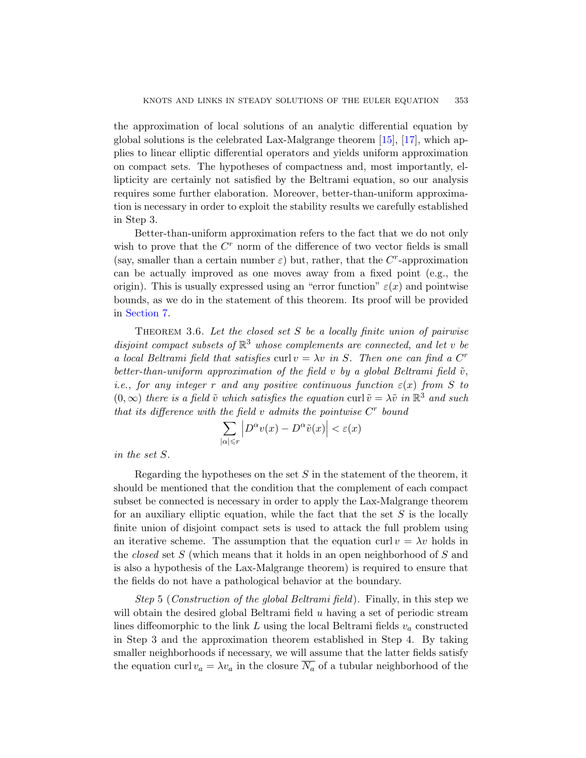the approximation of local solutions of an analytic differential equation by global solutions is the celebrated Lax-Malgrange theorem [\[15\]](#page-22-7), [\[17\]](#page-22-8), which applies to linear elliptic differential operators and yields uniform approximation on compact sets. The hypotheses of compactness and, most importantly, ellipticity are certainly not satisfied by the Beltrami equation, so our analysis requires some further elaboration. Moreover, better-than-uniform approximation is necessary in order to exploit the stability results we carefully established in Step 3.

Better-than-uniform approximation refers to the fact that we do not only wish to prove that the  $C<sup>r</sup>$  norm of the difference of two vector fields is small (say, smaller than a certain number  $\varepsilon$ ) but, rather, that the C<sup>r</sup>-approximation can be actually improved as one moves away from a fixed point (e.g., the origin). This is usually expressed using an "error function"  $\varepsilon(x)$  and pointwise bounds, as we do in the statement of this theorem. Its proof will be provided in [Section 7.](#page-16-0)

<span id="page-8-0"></span>THEOREM 3.6. Let the closed set  $S$  be a locally finite union of pairwise disjoint compact subsets of  $\mathbb{R}^3$  whose complements are connected, and let v be a local Beltrami field that satisfies curl  $v = \lambda v$  in S. Then one can find a C<sup>r</sup> better-than-uniform approximation of the field v by a global Beltrami field  $\tilde{v}$ , i.e., for any integer r and any positive continuous function  $\varepsilon(x)$  from S to  $(0, \infty)$  there is a field  $\tilde{v}$  which satisfies the equation curl  $\tilde{v} = \lambda \tilde{v}$  in  $\mathbb{R}^3$  and such that its difference with the field  $v$  admits the pointwise  $C<sup>r</sup>$  bound

$$
\sum_{|\alpha| \le r} \left| D^{\alpha} v(x) - D^{\alpha} \tilde{v}(x) \right| < \varepsilon(x)
$$

in the set S.

Regarding the hypotheses on the set  $S$  in the statement of the theorem, it should be mentioned that the condition that the complement of each compact subset be connected is necessary in order to apply the Lax-Malgrange theorem for an auxiliary elliptic equation, while the fact that the set  $S$  is the locally finite union of disjoint compact sets is used to attack the full problem using an iterative scheme. The assumption that the equation curl  $v = \lambda v$  holds in the *closed* set  $S$  (which means that it holds in an open neighborhood of  $S$  and is also a hypothesis of the Lax-Malgrange theorem) is required to ensure that the fields do not have a pathological behavior at the boundary.

Step 5 (Construction of the global Beltrami field). Finally, in this step we will obtain the desired global Beltrami field u having a set of periodic stream lines diffeomorphic to the link L using the local Beltrami fields  $v_a$  constructed in Step 3 and the approximation theorem established in Step 4. By taking smaller neighborhoods if necessary, we will assume that the latter fields satisfy the equation curl  $v_a = \lambda v_a$  in the closure  $\overline{N_a}$  of a tubular neighborhood of the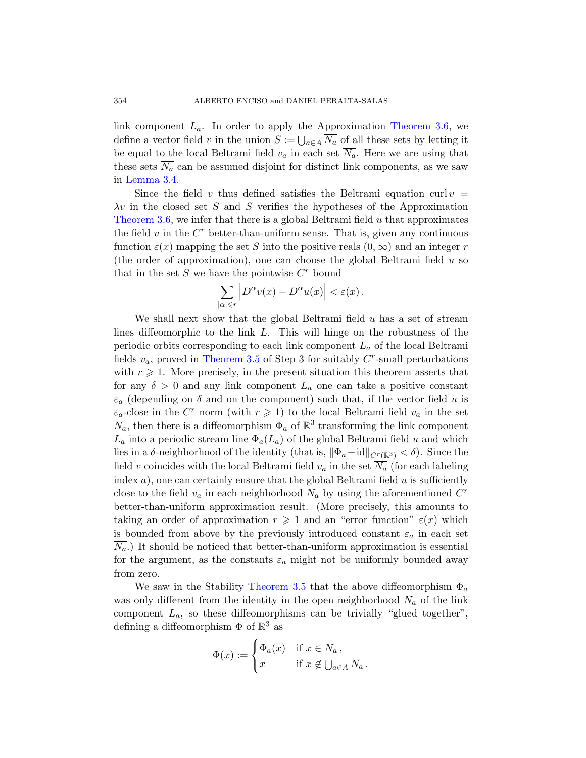link component  $L_a$ . In order to apply the Approximation [Theorem 3.6,](#page-8-0) we define a vector field v in the union  $S := \bigcup_{a \in A} N_a$  of all these sets by letting it be equal to the local Beltrami field  $v_a$  in each set  $\overline{N_a}$ . Here we are using that these sets  $\overline{N_a}$  can be assumed disjoint for distinct link components, as we saw in [Lemma 3.4.](#page-7-0)

Since the field v thus defined satisfies the Beltrami equation curl  $v =$  $\lambda v$  in the closed set S and S verifies the hypotheses of the Approximation [Theorem 3.6,](#page-8-0) we infer that there is a global Beltrami field  $u$  that approximates the field  $v$  in the  $C<sup>r</sup>$  better-than-uniform sense. That is, given any continuous function  $\varepsilon(x)$  mapping the set S into the positive reals  $(0,\infty)$  and an integer r (the order of approximation), one can choose the global Beltrami field  $u$  so that in the set  $S$  we have the pointwise  $C<sup>r</sup>$  bound

$$
\sum_{|\alpha| \leq r} \left| D^{\alpha} v(x) - D^{\alpha} u(x) \right| < \varepsilon(x) \, .
$$

We shall next show that the global Beltrami field  $u$  has a set of stream lines diffeomorphic to the link L. This will hinge on the robustness of the periodic orbits corresponding to each link component  $L_a$  of the local Beltrami fields  $v_a$ , proved in [Theorem 3.5](#page-7-1) of Step 3 for suitably  $C^r$ -small perturbations with  $r \geq 1$ . More precisely, in the present situation this theorem asserts that for any  $\delta > 0$  and any link component  $L_a$  one can take a positive constant  $\varepsilon_a$  (depending on  $\delta$  and on the component) such that, if the vector field u is  $\varepsilon_a$ -close in the C<sup>r</sup> norm (with  $r \geq 1$ ) to the local Beltrami field  $v_a$  in the set  $N_a$ , then there is a diffeomorphism  $\Phi_a$  of  $\mathbb{R}^3$  transforming the link component  $L_a$  into a periodic stream line  $\Phi_a(L_a)$  of the global Beltrami field u and which lies in a δ-neighborhood of the identity (that is,  $\|\Phi_a-\text{id}\|_{C^r(\mathbb{R}^3)} < \delta$ ). Since the field v coincides with the local Beltrami field  $v_a$  in the set  $\overline{N_a}$  (for each labeling index  $a$ ), one can certainly ensure that the global Beltrami field  $u$  is sufficiently close to the field  $v_a$  in each neighborhood  $N_a$  by using the aforementioned  $C^r$ better-than-uniform approximation result. (More precisely, this amounts to taking an order of approximation  $r \geq 1$  and an "error function"  $\varepsilon(x)$  which is bounded from above by the previously introduced constant  $\varepsilon_a$  in each set  $\overline{N_a}$ .) It should be noticed that better-than-uniform approximation is essential for the argument, as the constants  $\varepsilon_a$  might not be uniformly bounded away from zero.

We saw in the Stability [Theorem 3.5](#page-7-1) that the above diffeomorphism  $\Phi_a$ was only different from the identity in the open neighborhood  $N_a$  of the link component  $L_a$ , so these diffeomorphisms can be trivially "glued together", defining a diffeomorphism  $\Phi$  of  $\mathbb{R}^3$  as

$$
\Phi(x) := \begin{cases} \Phi_a(x) & \text{if } x \in N_a, \\ x & \text{if } x \notin \bigcup_{a \in A} N_a. \end{cases}
$$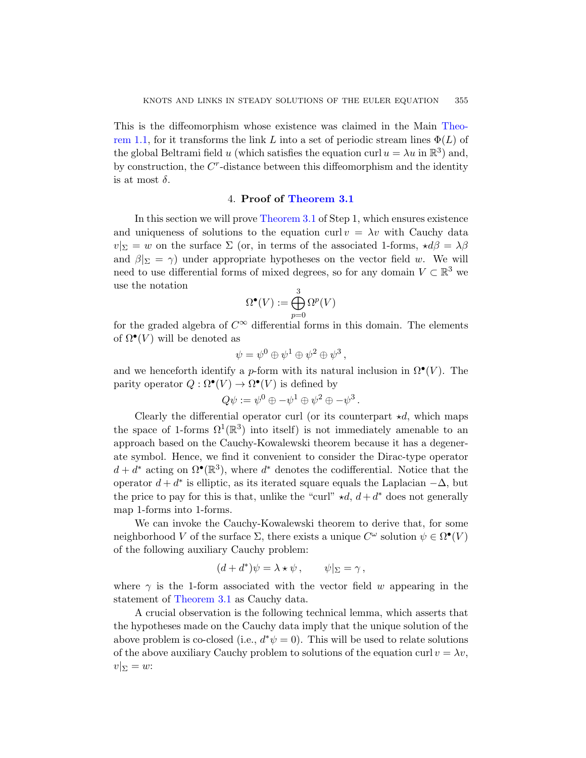This is the diffeomorphism whose existence was claimed in the Main [Theo](#page-2-1)[rem 1.1,](#page-2-1) for it transforms the link L into a set of periodic stream lines  $\Phi(L)$  of the global Beltrami field u (which satisfies the equation curl  $u = \lambda u$  in  $\mathbb{R}^3$ ) and, by construction, the  $C<sup>r</sup>$ -distance between this diffeomorphism and the identity is at most  $\delta$ .

## 4. Proof of [Theorem 3.1](#page-5-0)

<span id="page-10-0"></span>In this section we will prove [Theorem 3.1](#page-5-0) of Step 1, which ensures existence and uniqueness of solutions to the equation curl  $v = \lambda v$  with Cauchy data  $v|_{\Sigma} = w$  on the surface  $\Sigma$  (or, in terms of the associated 1-forms,  $\star d\beta = \lambda \beta$ and  $\beta|_{\Sigma} = \gamma$ ) under appropriate hypotheses on the vector field w. We will need to use differential forms of mixed degrees, so for any domain  $V \subset \mathbb{R}^3$  we use the notation

$$
\Omega^\bullet(V):=\bigoplus_{p=0}^3 \Omega^p(V)
$$

for the graded algebra of  $C^{\infty}$  differential forms in this domain. The elements of  $\Omega^{\bullet}(V)$  will be denoted as

$$
\psi = \psi^0 \oplus \psi^1 \oplus \psi^2 \oplus \psi^3 \,,
$$

and we henceforth identify a p-form with its natural inclusion in  $\Omega^{\bullet}(V)$ . The parity operator  $Q : \Omega^{\bullet}(V) \to \Omega^{\bullet}(V)$  is defined by

$$
Q\psi := \psi^0 \oplus -\psi^1 \oplus \psi^2 \oplus -\psi^3.
$$

Clearly the differential operator curl (or its counterpart  $\star d$ , which maps the space of 1-forms  $\Omega^1(\mathbb{R}^3)$  into itself) is not immediately amenable to an approach based on the Cauchy-Kowalewski theorem because it has a degenerate symbol. Hence, we find it convenient to consider the Dirac-type operator  $d + d^*$  acting on  $\Omega^{\bullet}(\mathbb{R}^3)$ , where  $d^*$  denotes the codifferential. Notice that the operator  $d + d^*$  is elliptic, as its iterated square equals the Laplacian  $-\Delta$ , but the price to pay for this is that, unlike the "curl"  $\star d$ ,  $d + d^*$  does not generally map 1-forms into 1-forms.

We can invoke the Cauchy-Kowalewski theorem to derive that, for some neighborhood V of the surface  $\Sigma$ , there exists a unique  $C^{\omega}$  solution  $\psi \in \Omega^{\bullet}(V)$ of the following auxiliary Cauchy problem:

$$
(d+d^*)\psi = \lambda \star \psi \,, \qquad \psi|_{\Sigma} = \gamma \,,
$$

where  $\gamma$  is the 1-form associated with the vector field w appearing in the statement of [Theorem 3.1](#page-5-0) as Cauchy data.

A crucial observation is the following technical lemma, which asserts that the hypotheses made on the Cauchy data imply that the unique solution of the above problem is co-closed (i.e.,  $d^*\psi = 0$ ). This will be used to relate solutions of the above auxiliary Cauchy problem to solutions of the equation curl  $v = \lambda v$ ,  $v|_{\Sigma} = w$ :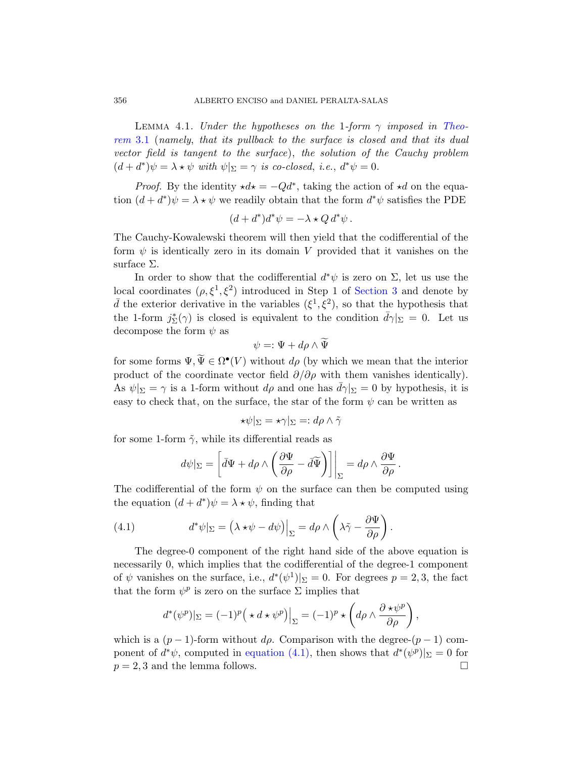<span id="page-11-1"></span>LEMMA 4.1. Under the hypotheses on the 1-form  $\gamma$  imposed in [Theo](#page-5-0)[rem](#page-5-0) 3.1 (namely, that its pullback to the surface is closed and that its dual vector field is tangent to the surface), the solution of the Cauchy problem  $(d + d^*)\psi = \lambda * \psi$  with  $\psi|_{\Sigma} = \gamma$  is co-closed, i.e.,  $d^*\psi = 0$ .

*Proof.* By the identity  $\star d\star = -Qd^*$ , taking the action of  $\star d$  on the equation  $(d + d^*)\psi = \lambda * \psi$  we readily obtain that the form  $d^*\psi$  satisfies the PDE

$$
(d+d^*)d^*\psi = -\lambda \star Q d^*\psi.
$$

The Cauchy-Kowalewski theorem will then yield that the codifferential of the form  $\psi$  is identically zero in its domain V provided that it vanishes on the surface Σ.

In order to show that the codifferential  $d^*\psi$  is zero on  $\Sigma$ , let us use the local coordinates  $(\rho, \xi^1, \xi^2)$  introduced in Step 1 of [Section 3](#page-4-0) and denote by  $\bar{d}$  the exterior derivative in the variables  $(\xi^1, \xi^2)$ , so that the hypothesis that the 1-form  $j_{\Sigma}^{*}(\gamma)$  is closed is equivalent to the condition  $\bar{d}\gamma|_{\Sigma} = 0$ . Let us decompose the form  $\psi$  as

$$
\psi=:\Psi+d\rho\wedge\Psi
$$

for some forms  $\Psi, \tilde{\Psi} \in \Omega^{\bullet}(V)$  without  $d\rho$  (by which we mean that the interior product of the coordinate vector field  $\partial/\partial \rho$  with them vanishes identically). As  $\psi|_{\Sigma} = \gamma$  is a 1-form without  $d\rho$  and one has  $d\gamma|_{\Sigma} = 0$  by hypothesis, it is easy to check that, on the surface, the star of the form  $\psi$  can be written as

$$
\star\psi|_{\Sigma}=\star\gamma|_{\Sigma}=:d\rho\wedge\tilde{\gamma}
$$

for some 1-form  $\tilde{\gamma}$ , while its differential reads as

<span id="page-11-0"></span>
$$
d\psi|_{\Sigma} = \left[ \bar{d}\Psi + d\rho \wedge \left( \frac{\partial \Psi}{\partial \rho} - \bar{d}\widetilde{\Psi} \right) \right] \Big|_{\Sigma} = d\rho \wedge \frac{\partial \Psi}{\partial \rho}.
$$

The codifferential of the form  $\psi$  on the surface can then be computed using the equation  $(d + d^*)\psi = \lambda * \psi$ , finding that

(4.1) 
$$
d^*\psi|_{\Sigma} = (\lambda \star \psi - d\psi)\Big|_{\Sigma} = d\rho \wedge \left(\lambda \tilde{\gamma} - \frac{\partial \Psi}{\partial \rho}\right).
$$

The degree-0 component of the right hand side of the above equation is necessarily 0, which implies that the codifferential of the degree-1 component of  $\psi$  vanishes on the surface, i.e.,  $d^*(\psi^1)|_{\Sigma} = 0$ . For degrees  $p = 2, 3$ , the fact that the form  $\psi^p$  is zero on the surface  $\Sigma$  implies that

$$
d^*(\psi^p)|_{\Sigma} = (-1)^p \left(\star d \star \psi^p\right)\Big|_{\Sigma} = (-1)^p \star \left(d\rho \wedge \frac{\partial \star \psi^p}{\partial \rho}\right),
$$

which is a  $(p-1)$ -form without  $d\rho$ . Comparison with the degree- $(p-1)$  component of  $d^*\psi$ , computed in [equation \(4.1\),](#page-11-0) then shows that  $d^*(\psi^p)|_{\Sigma} = 0$  for  $p = 2, 3$  and the lemma follows.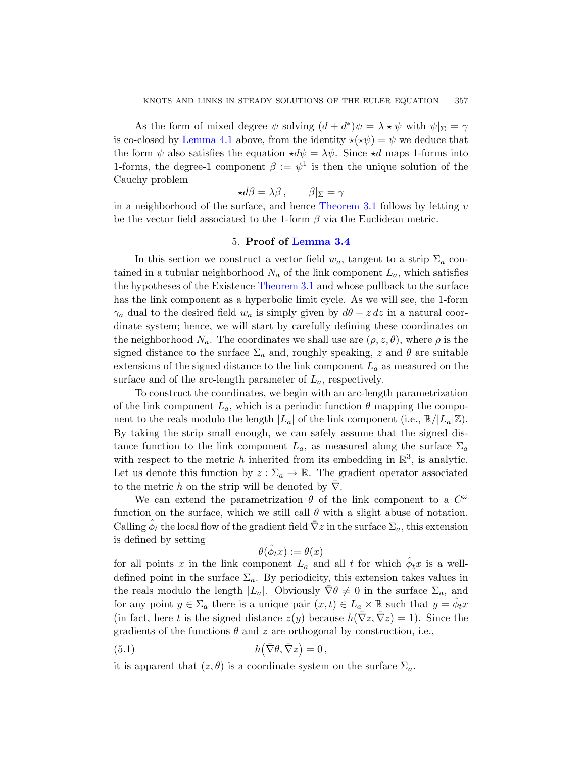As the form of mixed degree  $\psi$  solving  $(d + d^*)\psi = \lambda * \psi$  with  $\psi|_{\Sigma} = \gamma$ is co-closed by [Lemma 4.1](#page-11-1) above, from the identity  $\star(\star\psi) = \psi$  we deduce that the form  $\psi$  also satisfies the equation  $\star d\psi = \lambda \psi$ . Since  $\star d$  maps 1-forms into 1-forms, the degree-1 component  $\beta := \psi^1$  is then the unique solution of the Cauchy problem

$$
\star d\beta = \lambda \beta \,, \qquad \beta|_{\Sigma} = \gamma
$$

in a neighborhood of the surface, and hence [Theorem 3.1](#page-5-0) follows by letting  $v$ be the vector field associated to the 1-form  $\beta$  via the Euclidean metric.

#### 5. Proof of [Lemma 3.4](#page-7-0)

<span id="page-12-0"></span>In this section we construct a vector field  $w_a$ , tangent to a strip  $\Sigma_a$  contained in a tubular neighborhood  $N_a$  of the link component  $L_a$ , which satisfies the hypotheses of the Existence [Theorem 3.1](#page-5-0) and whose pullback to the surface has the link component as a hyperbolic limit cycle. As we will see, the 1-form  $\gamma_a$  dual to the desired field  $w_a$  is simply given by  $d\theta - z dz$  in a natural coordinate system; hence, we will start by carefully defining these coordinates on the neighborhood  $N_a$ . The coordinates we shall use are  $(\rho, z, \theta)$ , where  $\rho$  is the signed distance to the surface  $\Sigma_a$  and, roughly speaking, z and  $\theta$  are suitable extensions of the signed distance to the link component  $L_a$  as measured on the surface and of the arc-length parameter of  $L_a$ , respectively.

To construct the coordinates, we begin with an arc-length parametrization of the link component  $L_a$ , which is a periodic function  $\theta$  mapping the component to the reals modulo the length  $|L_a|$  of the link component (i.e.,  $\mathbb{R}/|L_a|\mathbb{Z}$ ). By taking the strip small enough, we can safely assume that the signed distance function to the link component  $L_a$ , as measured along the surface  $\Sigma_a$ with respect to the metric h inherited from its embedding in  $\mathbb{R}^3$ , is analytic. Let us denote this function by  $z : \Sigma_a \to \mathbb{R}$ . The gradient operator associated to the metric h on the strip will be denoted by  $\nabla$ .

We can extend the parametrization  $\theta$  of the link component to a  $C^{\omega}$ function on the surface, which we still call  $\theta$  with a slight abuse of notation. Calling  $\hat{\phi}_t$  the local flow of the gradient field  $\bar{\nabla}z$  in the surface  $\Sigma_a$ , this extension is defined by setting

<span id="page-12-1"></span>
$$
\theta(\hat{\phi}_t x) := \theta(x)
$$

for all points x in the link component  $L_a$  and all t for which  $\hat{\phi}_t x$  is a welldefined point in the surface  $\Sigma_a$ . By periodicity, this extension takes values in the reals modulo the length  $|L_a|$ . Obviously  $\overline{\nabla}\theta \neq 0$  in the surface  $\Sigma_a$ , and for any point  $y \in \Sigma_a$  there is a unique pair  $(x, t) \in L_a \times \mathbb{R}$  such that  $y = \hat{\phi}_t x$ (in fact, here t is the signed distance  $z(y)$  because  $h(\bar{\nabla}z, \bar{\nabla}z) = 1$ ). Since the gradients of the functions  $\theta$  and z are orthogonal by construction, i.e.,

(5.1) 
$$
h(\bar{\nabla}\theta, \bar{\nabla}z) = 0,
$$

it is apparent that  $(z, \theta)$  is a coordinate system on the surface  $\Sigma_a$ .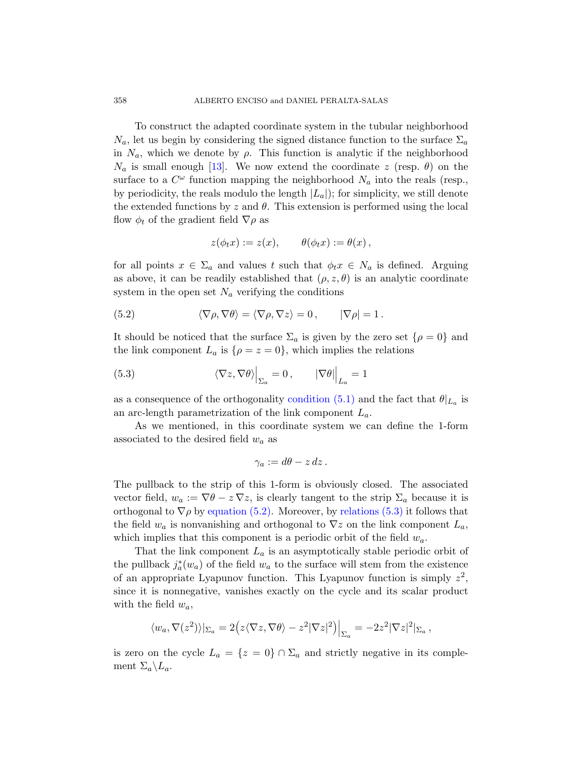To construct the adapted coordinate system in the tubular neighborhood  $N_a$ , let us begin by considering the signed distance function to the surface  $\Sigma_a$ in  $N_a$ , which we denote by  $\rho$ . This function is analytic if the neighborhood  $N_a$  is small enough [\[13\]](#page-22-5). We now extend the coordinate z (resp.  $\theta$ ) on the surface to a  $C^{\omega}$  function mapping the neighborhood  $N_a$  into the reals (resp., by periodicity, the reals modulo the length  $|L_a|$ ; for simplicity, we still denote the extended functions by  $z$  and  $\theta$ . This extension is performed using the local flow  $\phi_t$  of the gradient field  $\nabla \rho$  as

<span id="page-13-0"></span>
$$
z(\phi_t x) := z(x), \qquad \theta(\phi_t x) := \theta(x) ,
$$

for all points  $x \in \Sigma_a$  and values t such that  $\phi_t x \in N_a$  is defined. Arguing as above, it can be readily established that  $(\rho, z, \theta)$  is an analytic coordinate system in the open set  $N_a$  verifying the conditions

(5.2) 
$$
\langle \nabla \rho, \nabla \theta \rangle = \langle \nabla \rho, \nabla z \rangle = 0, \qquad |\nabla \rho| = 1.
$$

It should be noticed that the surface  $\Sigma_a$  is given by the zero set  $\{\rho = 0\}$  and the link component  $L_a$  is  $\{\rho = z = 0\}$ , which implies the relations

<span id="page-13-1"></span>(5.3) 
$$
\langle \nabla z, \nabla \theta \rangle \Big|_{\Sigma_a} = 0, \qquad |\nabla \theta| \Big|_{L_a} = 1
$$

as a consequence of the orthogonality [condition \(5.1\)](#page-12-1) and the fact that  $\theta|_{L_a}$  is an arc-length parametrization of the link component  $L_a$ .

As we mentioned, in this coordinate system we can define the 1-form associated to the desired field  $w_a$  as

$$
\gamma_a := d\theta - z\,dz\,.
$$

The pullback to the strip of this 1-form is obviously closed. The associated vector field,  $w_a := \nabla \theta - z \nabla z$ , is clearly tangent to the strip  $\Sigma_a$  because it is orthogonal to  $\nabla \rho$  by [equation \(5.2\).](#page-13-0) Moreover, by [relations \(5.3\)](#page-13-1) it follows that the field  $w_a$  is nonvanishing and orthogonal to  $\nabla z$  on the link component  $L_a$ , which implies that this component is a periodic orbit of the field  $w_a$ .

That the link component  $L_a$  is an asymptotically stable periodic orbit of the pullback  $j_a^*(w_a)$  of the field  $w_a$  to the surface will stem from the existence of an appropriate Lyapunov function. This Lyapunov function is simply  $z^2$ , since it is nonnegative, vanishes exactly on the cycle and its scalar product with the field  $w_a$ ,

$$
\langle w_a, \nabla(z^2) \rangle |_{\Sigma_a} = 2 \Big( z \langle \nabla z, \nabla \theta \rangle - z^2 |\nabla z|^2 \Big) \Big|_{\Sigma_a} = -2z^2 |\nabla z|^2 |_{\Sigma_a},
$$

is zero on the cycle  $L_a = \{z = 0\} \cap \Sigma_a$  and strictly negative in its complement  $\Sigma_a \backslash L_a$ .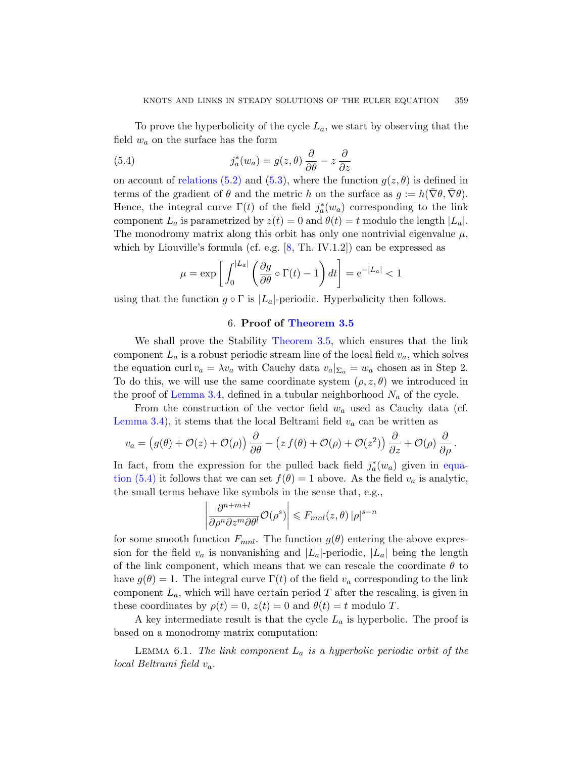To prove the hyperbolicity of the cycle  $L_a$ , we start by observing that the field  $w_a$  on the surface has the form

<span id="page-14-1"></span>(5.4) 
$$
j_a^*(w_a) = g(z, \theta) \frac{\partial}{\partial \theta} - z \frac{\partial}{\partial z}
$$

on account of [relations \(5.2\)](#page-13-0) and [\(5.3\)](#page-13-1), where the function  $g(z, \theta)$  is defined in terms of the gradient of  $\theta$  and the metric h on the surface as  $g := h(\overline{\nabla} \theta, \overline{\nabla} \theta)$ . Hence, the integral curve  $\Gamma(t)$  of the field  $j_a^*(w_a)$  corresponding to the link component  $L_a$  is parametrized by  $z(t) = 0$  and  $\theta(t) = t$  modulo the length  $|L_a|$ . The monodromy matrix along this orbit has only one nontrivial eigenvalue  $\mu$ , which by Liouville's formula (cf. e.g. [\[8,](#page-21-8) Th. IV.1.2]) can be expressed as

$$
\mu = \exp\left[\int_0^{|L_a|} \left(\frac{\partial g}{\partial \theta} \circ \Gamma(t) - 1\right) dt\right] = e^{-|L_a|} < 1
$$

<span id="page-14-0"></span>using that the function  $g \circ \Gamma$  is  $|L_a|$ -periodic. Hyperbolicity then follows.

## 6. Proof of [Theorem 3.5](#page-7-1)

We shall prove the Stability [Theorem 3.5,](#page-7-1) which ensures that the link component  $L_a$  is a robust periodic stream line of the local field  $v_a$ , which solves the equation curl  $v_a = \lambda v_a$  with Cauchy data  $v_a|_{\Sigma_a} = w_a$  chosen as in Step 2. To do this, we will use the same coordinate system  $(\rho, z, \theta)$  we introduced in the proof of [Lemma 3.4,](#page-7-0) defined in a tubular neighborhood  $N_a$  of the cycle.

From the construction of the vector field  $w_a$  used as Cauchy data (cf. [Lemma 3.4\)](#page-7-0), it stems that the local Beltrami field  $v_a$  can be written as

$$
v_a = (g(\theta) + \mathcal{O}(z) + \mathcal{O}(\rho)) \frac{\partial}{\partial \theta} - (z f(\theta) + \mathcal{O}(\rho) + \mathcal{O}(z^2)) \frac{\partial}{\partial z} + \mathcal{O}(\rho) \frac{\partial}{\partial \rho}.
$$

In fact, from the expression for the pulled back field  $j_a^*(w_a)$  given in [equa](#page-14-1)[tion \(5.4\)](#page-14-1) it follows that we can set  $f(\theta) = 1$  above. As the field  $v_a$  is analytic, the small terms behave like symbols in the sense that, e.g.,

$$
\left| \frac{\partial^{n+m+l}}{\partial \rho^n \partial z^m \partial \theta^l} \mathcal{O}(\rho^s) \right| \leq F_{mnl}(z,\theta) |\rho|^{s-n}
$$

for some smooth function  $F_{mnl}$ . The function  $g(\theta)$  entering the above expression for the field  $v_a$  is nonvanishing and  $|L_a|$ -periodic,  $|L_a|$  being the length of the link component, which means that we can rescale the coordinate  $\theta$  to have  $g(\theta) = 1$ . The integral curve  $\Gamma(t)$  of the field  $v_a$  corresponding to the link component  $L_a$ , which will have certain period T after the rescaling, is given in these coordinates by  $\rho(t) = 0$ ,  $z(t) = 0$  and  $\theta(t) = t$  modulo T.

A key intermediate result is that the cycle  $L_a$  is hyperbolic. The proof is based on a monodromy matrix computation:

LEMMA 6.1. The link component  $L_a$  is a hyperbolic periodic orbit of the local Beltrami field  $v_a$ .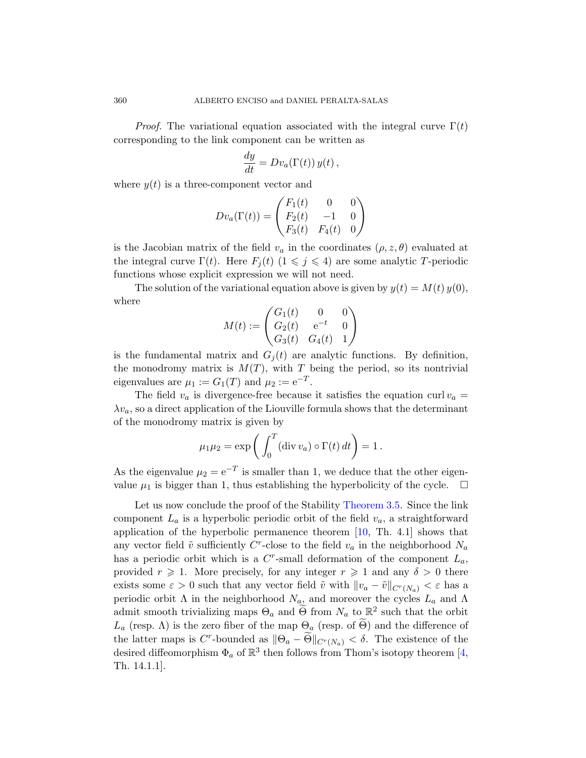*Proof.* The variational equation associated with the integral curve  $\Gamma(t)$ corresponding to the link component can be written as

$$
\frac{dy}{dt} = Dv_a(\Gamma(t)) y(t),
$$

where  $y(t)$  is a three-component vector and

$$
Dv_a(\Gamma(t)) = \begin{pmatrix} F_1(t) & 0 & 0 \\ F_2(t) & -1 & 0 \\ F_3(t) & F_4(t) & 0 \end{pmatrix}
$$

is the Jacobian matrix of the field  $v_a$  in the coordinates  $(\rho, z, \theta)$  evaluated at the integral curve  $\Gamma(t)$ . Here  $F_i(t)$   $(1 \leq i \leq 4)$  are some analytic T-periodic functions whose explicit expression we will not need.

The solution of the variational equation above is given by  $y(t) = M(t) y(0)$ , where

$$
M(t) := \begin{pmatrix} G_1(t) & 0 & 0 \\ G_2(t) & e^{-t} & 0 \\ G_3(t) & G_4(t) & 1 \end{pmatrix}
$$

is the fundamental matrix and  $G_i(t)$  are analytic functions. By definition, the monodromy matrix is  $M(T)$ , with T being the period, so its nontrivial eigenvalues are  $\mu_1 := G_1(T)$  and  $\mu_2 := e^{-T}$ .

The field  $v_a$  is divergence-free because it satisfies the equation curl  $v_a$  =  $\lambda v_a$ , so a direct application of the Liouville formula shows that the determinant of the monodromy matrix is given by

$$
\mu_1 \mu_2 = \exp\left(\int_0^T (\operatorname{div} v_a) \circ \Gamma(t) dt\right) = 1.
$$

As the eigenvalue  $\mu_2 = e^{-T}$  is smaller than 1, we deduce that the other eigenvalue  $\mu_1$  is bigger than 1, thus establishing the hyperbolicity of the cycle.  $\Box$ 

Let us now conclude the proof of the Stability [Theorem 3.5.](#page-7-1) Since the link component  $L_a$  is a hyperbolic periodic orbit of the field  $v_a$ , a straightforward application of the hyperbolic permanence theorem  $[10, Th. 4.1]$  shows that any vector field  $\tilde{v}$  sufficiently C<sup>r</sup>-close to the field  $v_a$  in the neighborhood  $N_a$ has a periodic orbit which is a  $C<sup>r</sup>$ -small deformation of the component  $L_a$ , provided  $r \geq 1$ . More precisely, for any integer  $r \geq 1$  and any  $\delta > 0$  there exists some  $\varepsilon > 0$  such that any vector field  $\tilde{v}$  with  $||v_a - \tilde{v}||_{C^{r}(N_a)} < \varepsilon$  has a periodic orbit  $\Lambda$  in the neighborhood  $N_a$ , and moreover the cycles  $L_a$  and  $\Lambda$ admit smooth trivializing maps  $\Theta_a$  and  $\widetilde{\Theta}$  from  $N_a$  to  $\mathbb{R}^2$  such that the orbit  $L_a$  (resp.  $\Lambda$ ) is the zero fiber of the map  $\Theta_a$  (resp. of  $\Theta$ ) and the difference of the latter maps is C<sup>r</sup>-bounded as  $\|\Theta_a - \widetilde{\Theta}\|_{C^r(N_a)} < \delta$ . The existence of the desired diffeomorphism  $\Phi_a$  of  $\mathbb{R}^3$  then follows from Thom's isotopy theorem [\[4,](#page-21-7) Th. 14.1.1].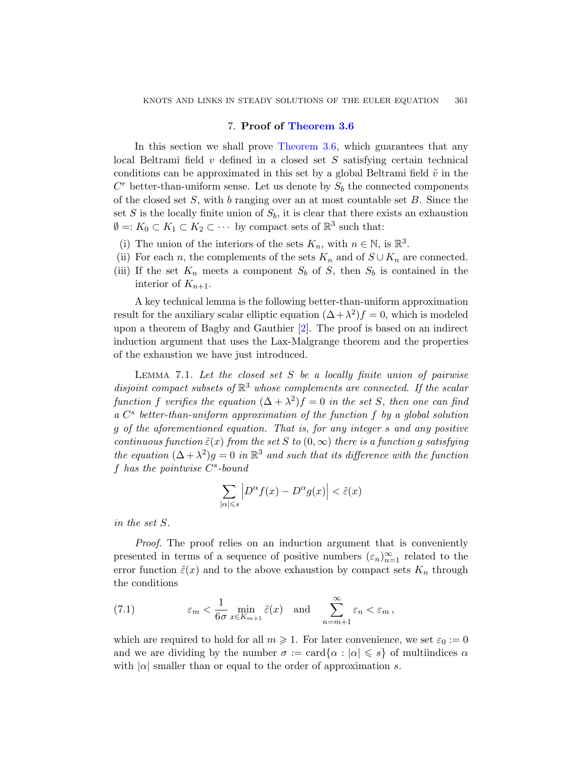## 7. Proof of [Theorem 3.6](#page-8-0)

<span id="page-16-0"></span>In this section we shall prove [Theorem 3.6,](#page-8-0) which guarantees that any local Beltrami field v defined in a closed set S satisfying certain technical conditions can be approximated in this set by a global Beltrami field  $\tilde{v}$  in the  $C<sup>r</sup>$  better-than-uniform sense. Let us denote by  $S<sub>b</sub>$  the connected components of the closed set  $S$ , with b ranging over an at most countable set  $B$ . Since the set S is the locally finite union of  $S_b$ , it is clear that there exists an exhaustion  $\emptyset =: K_0 \subset K_1 \subset K_2 \subset \cdots$  by compact sets of  $\mathbb{R}^3$  such that:

- (i) The union of the interiors of the sets  $K_n$ , with  $n \in \mathbb{N}$ , is  $\mathbb{R}^3$ .
- (ii) For each n, the complements of the sets  $K_n$  and of  $S \cup K_n$  are connected.
- (iii) If the set  $K_n$  meets a component  $S_b$  of S, then  $S_b$  is contained in the interior of  $K_{n+1}$ .

A key technical lemma is the following better-than-uniform approximation result for the auxiliary scalar elliptic equation  $(\Delta + \lambda^2)f = 0$ , which is modeled upon a theorem of Bagby and Gauthier [\[2\]](#page-21-10). The proof is based on an indirect induction argument that uses the Lax-Malgrange theorem and the properties of the exhaustion we have just introduced.

<span id="page-16-2"></span>LEMMA 7.1. Let the closed set  $S$  be a locally finite union of pairwise disjoint compact subsets of  $\mathbb{R}^3$  whose complements are connected. If the scalar function f verifies the equation  $(\Delta + \lambda^2) f = 0$  in the set S, then one can find a C<sup>s</sup> better-than-uniform approximation of the function f by a global solution g of the aforementioned equation. That is, for any integer s and any positive continuous function  $\tilde{\varepsilon}(x)$  from the set S to  $(0,\infty)$  there is a function g satisfying the equation  $(\Delta + \lambda^2)g = 0$  in  $\mathbb{R}^3$  and such that its difference with the function  $f$  has the pointwise  $C^s$ -bound

$$
\sum_{|\alpha| \leq s} \left| D^{\alpha} f(x) - D^{\alpha} g(x) \right| < \tilde{\varepsilon}(x)
$$

in the set S.

Proof. The proof relies on an induction argument that is conveniently presented in terms of a sequence of positive numbers  $(\varepsilon_n)_{n=1}^{\infty}$  related to the error function  $\tilde{\varepsilon}(x)$  and to the above exhaustion by compact sets  $K_n$  through the conditions

<span id="page-16-1"></span>(7.1) 
$$
\varepsilon_m < \frac{1}{6\sigma} \min_{x \in K_{m+1}} \tilde{\varepsilon}(x)
$$
 and  $\sum_{n=m+1}^{\infty} \varepsilon_n < \varepsilon_m$ ,

which are required to hold for all  $m \geqslant 1$ . For later convenience, we set  $\varepsilon_0 := 0$ and we are dividing by the number  $\sigma := \text{card}\{\alpha : |\alpha| \leq s\}$  of multiindices  $\alpha$ with  $|\alpha|$  smaller than or equal to the order of approximation s.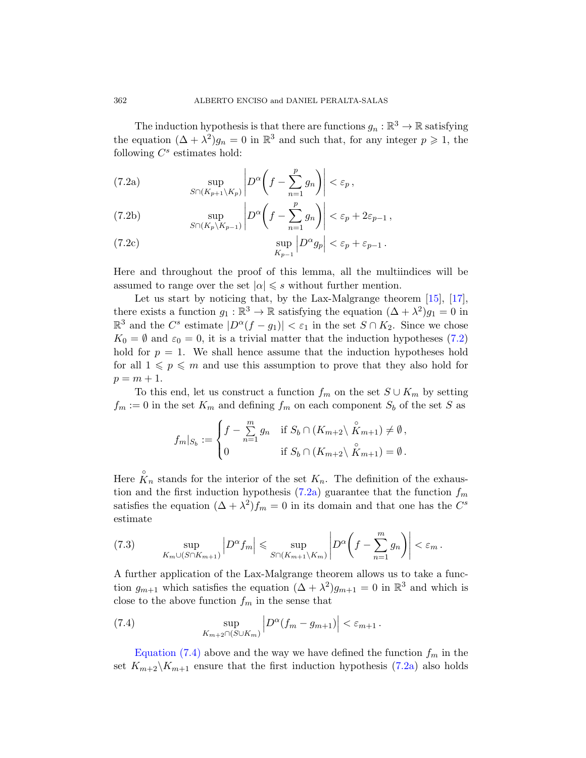<span id="page-17-0"></span>The induction hypothesis is that there are functions  $g_n : \mathbb{R}^3 \to \mathbb{R}$  satisfying the equation  $(\Delta + \lambda^2)g_n = 0$  in  $\mathbb{R}^3$  and such that, for any integer  $p \geq 1$ , the following  $C^s$  estimates hold:

<span id="page-17-1"></span>(7.2a) 
$$
\sup_{S \cap (K_{p+1} \setminus K_p)} \left| D^{\alpha} \left( f - \sum_{n=1}^p g_n \right) \right| < \varepsilon_p,
$$

<span id="page-17-4"></span>(7.2b) 
$$
\sup_{S \cap (K_p \setminus K_{p-1})} \left| D^{\alpha} \left( f - \sum_{n=1}^p g_n \right) \right| < \varepsilon_p + 2\varepsilon_{p-1},
$$

<span id="page-17-5"></span>(7.2c) 
$$
\sup_{K_{p-1}} \left| D^{\alpha} g_p \right| < \varepsilon_p + \varepsilon_{p-1}.
$$

Here and throughout the proof of this lemma, all the multiindices will be assumed to range over the set  $|\alpha| \leq s$  without further mention.

Let us start by noticing that, by the Lax-Malgrange theorem [\[15\]](#page-22-7), [\[17\]](#page-22-8), there exists a function  $g_1 : \mathbb{R}^3 \to \mathbb{R}$  satisfying the equation  $(\Delta + \lambda^2)g_1 = 0$  in  $\mathbb{R}^3$  and the  $C^s$  estimate  $|D^{\alpha}(f-g_1)| < \varepsilon_1$  in the set  $S \cap K_2$ . Since we chose  $K_0 = \emptyset$  and  $\varepsilon_0 = 0$ , it is a trivial matter that the induction hypotheses [\(7.2\)](#page-17-0) hold for  $p = 1$ . We shall hence assume that the induction hypotheses hold for all  $1 \leqslant p \leqslant m$  and use this assumption to prove that they also hold for  $p = m + 1.$ 

To this end, let us construct a function  $f_m$  on the set  $S \cup K_m$  by setting  $f_m := 0$  in the set  $K_m$  and defining  $f_m$  on each component  $S_b$  of the set S as

$$
f_m|_{S_b} := \begin{cases} f - \sum_{n=1}^m g_n & \text{if } S_b \cap (K_{m+2} \setminus \overset{\circ}{K}_{m+1}) \neq \emptyset, \\ 0 & \text{if } S_b \cap (K_{m+2} \setminus \overset{\circ}{K}_{m+1}) = \emptyset. \end{cases}
$$

Here  $\hat{K}_n$  stands for the interior of the set  $K_n$ . The definition of the exhaustion and the first induction hypothesis  $(7.2a)$  guarantee that the function  $f_m$ satisfies the equation  $(\Delta + \lambda^2) f_m = 0$  in its domain and that one has the  $C^s$ estimate

<span id="page-17-3"></span>(7.3) 
$$
\sup_{K_m \cup (S \cap K_{m+1})} \left| D^{\alpha} f_m \right| \leq \sup_{S \cap (K_{m+1} \setminus K_m)} \left| D^{\alpha} \left( f - \sum_{n=1}^m g_n \right) \right| < \varepsilon_m.
$$

A further application of the Lax-Malgrange theorem allows us to take a function  $g_{m+1}$  which satisfies the equation  $(\Delta + \lambda^2)g_{m+1} = 0$  in  $\mathbb{R}^3$  and which is close to the above function  $f_m$  in the sense that

<span id="page-17-2"></span>(7.4) 
$$
\sup_{K_{m+2} \cap (S \cup K_m)} \left| D^{\alpha}(f_m - g_{m+1}) \right| < \varepsilon_{m+1}.
$$

[Equation \(7.4\)](#page-17-2) above and the way we have defined the function  $f_m$  in the set  $K_{m+2}\backslash K_{m+1}$  ensure that the first induction hypothesis [\(7.2a\)](#page-17-1) also holds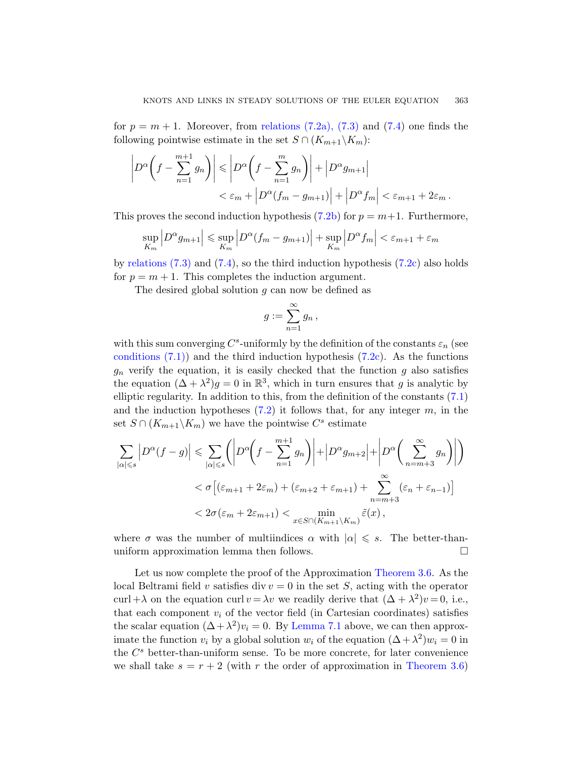for  $p = m + 1$ . Moreover, from [relations \(7.2a\), \(7.3\)](#page-17-3) and [\(7.4\)](#page-17-2) one finds the following pointwise estimate in the set  $S \cap (K_{m+1} \backslash K_m)$ :

$$
\left| D^{\alpha} \left( f - \sum_{n=1}^{m+1} g_n \right) \right| \leqslant \left| D^{\alpha} \left( f - \sum_{n=1}^{m} g_n \right) \right| + \left| D^{\alpha} g_{m+1} \right|
$$
  

$$
< \varepsilon_m + \left| D^{\alpha} (f_m - g_{m+1}) \right| + \left| D^{\alpha} f_m \right| < \varepsilon_{m+1} + 2\varepsilon_m.
$$

This proves the second induction hypothesis  $(7.2b)$  for  $p = m+1$ . Furthermore,

$$
\sup_{K_m} \left| D^{\alpha} g_{m+1} \right| \leq \sup_{K_m} \left| D^{\alpha} (f_m - g_{m+1}) \right| + \sup_{K_m} \left| D^{\alpha} f_m \right| < \varepsilon_{m+1} + \varepsilon_m
$$

by relations  $(7.3)$  and  $(7.4)$ , so the third induction hypothesis  $(7.2c)$  also holds for  $p = m + 1$ . This completes the induction argument.

The desired global solution  $g$  can now be defined as

$$
g:=\sum_{n=1}^\infty g_n\,
$$

with this sum converging  $C^s$ -uniformly by the definition of the constants  $\varepsilon_n$  (see conditions  $(7.1)$  and the third induction hypothesis  $(7.2c)$ . As the functions  $g_n$  verify the equation, it is easily checked that the function g also satisfies the equation  $(\Delta + \lambda^2)g = 0$  in  $\mathbb{R}^3$ , which in turn ensures that g is analytic by elliptic regularity. In addition to this, from the definition of the constants [\(7.1\)](#page-16-1) and the induction hypotheses  $(7.2)$  it follows that, for any integer  $m$ , in the set  $S \cap (K_{m+1} \backslash K_m)$  we have the pointwise  $C^s$  estimate

$$
\sum_{|\alpha| \leqslant s} \left| D^{\alpha}(f - g) \right| \leqslant \sum_{|\alpha| \leqslant s} \left( \left| D^{\alpha}\left(f - \sum_{n=1}^{m+1} g_n \right) \right| + \left| D^{\alpha} g_{m+2} \right| + \left| D^{\alpha}\left(\sum_{n=m+3}^{\infty} g_n \right) \right| \right)
$$
  
<  $\sigma \left[ (\varepsilon_{m+1} + 2\varepsilon_m) + (\varepsilon_{m+2} + \varepsilon_{m+1}) + \sum_{n=m+3}^{\infty} (\varepsilon_n + \varepsilon_{n-1}) \right]$   
<  $2\sigma(\varepsilon_m + 2\varepsilon_{m+1}) < \min_{x \in S \cap (K_{m+1} \setminus K_m)} \tilde{\varepsilon}(x),$ 

where  $\sigma$  was the number of multiindices  $\alpha$  with  $|\alpha| \leqslant s$ . The better-thanuniform approximation lemma then follows.  $\Box$ 

Let us now complete the proof of the Approximation [Theorem 3.6.](#page-8-0) As the local Beltrami field v satisfies div  $v = 0$  in the set S, acting with the operator curl + $\lambda$  on the equation curl  $v = \lambda v$  we readily derive that  $(\Delta + \lambda^2)v = 0$ , i.e., that each component  $v_i$  of the vector field (in Cartesian coordinates) satisfies the scalar equation  $(\Delta + \lambda^2)v_i = 0$ . By [Lemma 7.1](#page-16-2) above, we can then approximate the function  $v_i$  by a global solution  $w_i$  of the equation  $(\Delta + \lambda^2)w_i = 0$  in the  $C<sup>s</sup>$  better-than-uniform sense. To be more concrete, for later convenience we shall take  $s = r + 2$  (with r the order of approximation in [Theorem 3.6\)](#page-8-0)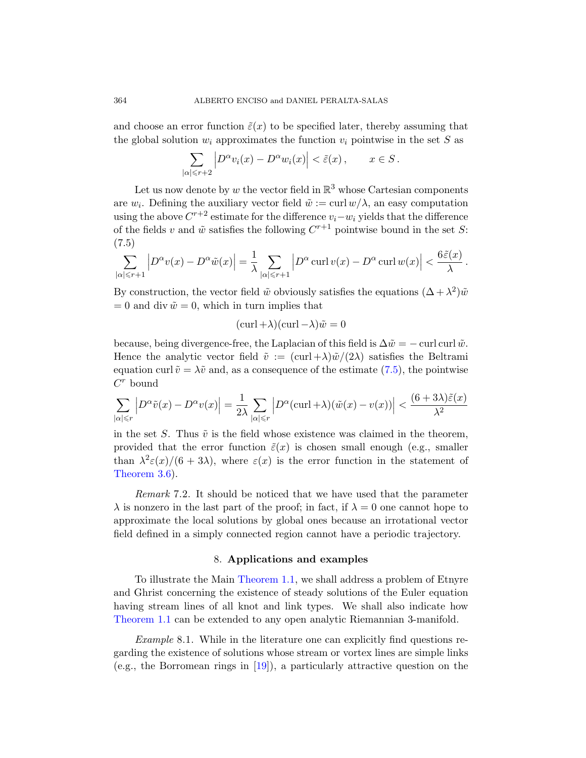and choose an error function  $\tilde{\varepsilon}(x)$  to be specified later, thereby assuming that the global solution  $w_i$  approximates the function  $v_i$  pointwise in the set S as

$$
\sum_{|\alpha| \leq r+2} \left| D^{\alpha} v_i(x) - D^{\alpha} w_i(x) \right| < \tilde{\varepsilon}(x) \,, \qquad x \in S \,.
$$

Let us now denote by w the vector field in  $\mathbb{R}^3$  whose Cartesian components are  $w_i$ . Defining the auxiliary vector field  $\tilde{w} := \text{curl } w/\lambda$ , an easy computation using the above  $C^{r+2}$  estimate for the difference  $v_i-w_i$  yields that the difference of the fields v and  $\tilde{w}$  satisfies the following  $C^{r+1}$  pointwise bound in the set S: (7.5)

<span id="page-19-1"></span>
$$
\sum_{|\alpha| \leq r+1} \left| D^{\alpha} v(x) - D^{\alpha} \tilde{w}(x) \right| = \frac{1}{\lambda} \sum_{|\alpha| \leq r+1} \left| D^{\alpha} \operatorname{curl} v(x) - D^{\alpha} \operatorname{curl} w(x) \right| < \frac{6\tilde{\varepsilon}(x)}{\lambda}.
$$

By construction, the vector field  $\tilde{w}$  obviously satisfies the equations  $(\Delta + \lambda^2)\tilde{w}$  $= 0$  and div  $\tilde{w} = 0$ , which in turn implies that

$$
(\operatorname{curl} + \lambda)(\operatorname{curl} - \lambda)\tilde{w} = 0
$$

because, being divergence-free, the Laplacian of this field is  $\Delta \tilde{w} = -\text{curl curl } \tilde{w}$ . Hence the analytic vector field  $\tilde{v} := (\text{curl} + \lambda) \tilde{w}/(2\lambda)$  satisfies the Beltrami equation curl  $\tilde{v} = \lambda \tilde{v}$  and, as a consequence of the estimate [\(7.5\)](#page-19-1), the pointwise  $C^r$  bound

$$
\sum_{|\alpha| \le r} \left| D^{\alpha} \tilde{v}(x) - D^{\alpha} v(x) \right| = \frac{1}{2\lambda} \sum_{|\alpha| \le r} \left| D^{\alpha} (\text{curl} + \lambda)(\tilde{w}(x) - v(x)) \right| < \frac{(6+3\lambda)\tilde{\varepsilon}(x)}{\lambda^2}
$$

in the set S. Thus  $\tilde{v}$  is the field whose existence was claimed in the theorem, provided that the error function  $\tilde{\varepsilon}(x)$  is chosen small enough (e.g., smaller than  $\lambda^2 \varepsilon(x)/(6+3\lambda)$ , where  $\varepsilon(x)$  is the error function in the statement of [Theorem 3.6\)](#page-8-0).

Remark 7.2. It should be noticed that we have used that the parameter  $\lambda$  is nonzero in the last part of the proof; in fact, if  $\lambda = 0$  one cannot hope to approximate the local solutions by global ones because an irrotational vector field defined in a simply connected region cannot have a periodic trajectory.

## 8. Applications and examples

<span id="page-19-0"></span>To illustrate the Main [Theorem 1.1,](#page-2-1) we shall address a problem of Etnyre and Ghrist concerning the existence of steady solutions of the Euler equation having stream lines of all knot and link types. We shall also indicate how [Theorem 1.1](#page-2-1) can be extended to any open analytic Riemannian 3-manifold.

Example 8.1. While in the literature one can explicitly find questions regarding the existence of solutions whose stream or vortex lines are simple links (e.g., the Borromean rings in [\[19\]](#page-22-1)), a particularly attractive question on the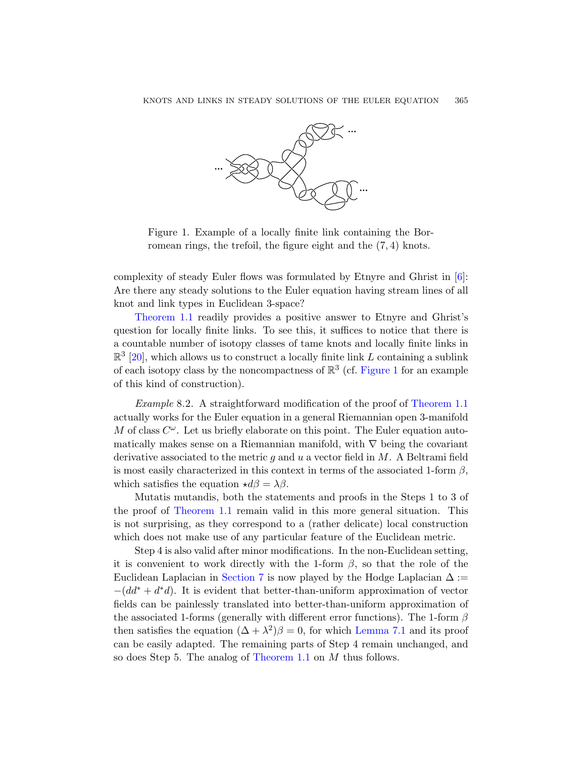

<span id="page-20-0"></span>Figure 1. Example of a locally finite link containing the Borromean rings, the trefoil, the figure eight and the (7, 4) knots.

complexity of steady Euler flows was formulated by Etnyre and Ghrist in  $[6]$ : Are there any steady solutions to the Euler equation having stream lines of all knot and link types in Euclidean 3-space?

[Theorem 1.1](#page-2-1) readily provides a positive answer to Etnyre and Ghrist's question for locally finite links. To see this, it suffices to notice that there is a countable number of isotopy classes of tame knots and locally finite links in  $\mathbb{R}^3$  [\[20\]](#page-22-9), which allows us to construct a locally finite link L containing a sublink of each isotopy class by the noncompactness of  $\mathbb{R}^3$  (cf. [Figure 1](#page-20-0) for an example of this kind of construction).

Example 8.2. A straightforward modification of the proof of [Theorem 1.1](#page-2-1) actually works for the Euler equation in a general Riemannian open 3-manifold M of class  $C^{\omega}$ . Let us briefly elaborate on this point. The Euler equation automatically makes sense on a Riemannian manifold, with  $\nabla$  being the covariant derivative associated to the metric  $q$  and  $u$  a vector field in  $M$ . A Beltrami field is most easily characterized in this context in terms of the associated 1-form  $\beta$ , which satisfies the equation  $\star d\beta = \lambda \beta$ .

Mutatis mutandis, both the statements and proofs in the Steps 1 to 3 of the proof of [Theorem 1.1](#page-2-1) remain valid in this more general situation. This is not surprising, as they correspond to a (rather delicate) local construction which does not make use of any particular feature of the Euclidean metric.

Step 4 is also valid after minor modifications. In the non-Euclidean setting, it is convenient to work directly with the 1-form  $\beta$ , so that the role of the Euclidean Laplacian in [Section 7](#page-16-0) is now played by the Hodge Laplacian  $\Delta :=$  $-(dd^* + d^*d)$ . It is evident that better-than-uniform approximation of vector fields can be painlessly translated into better-than-uniform approximation of the associated 1-forms (generally with different error functions). The 1-form  $\beta$ then satisfies the equation  $(\Delta + \lambda^2)\beta = 0$ , for which [Lemma 7.1](#page-16-2) and its proof can be easily adapted. The remaining parts of Step 4 remain unchanged, and so does Step 5. The analog of [Theorem 1.1](#page-2-1) on M thus follows.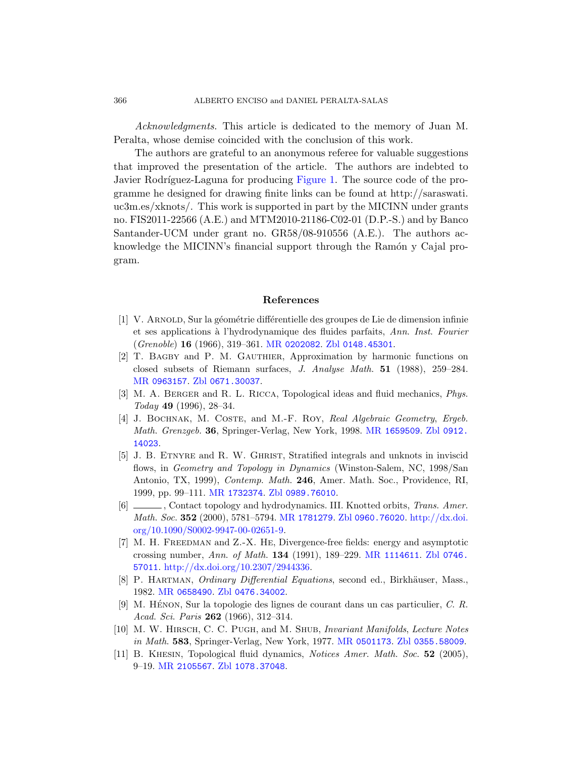Acknowledgments. This article is dedicated to the memory of Juan M. Peralta, whose demise coincided with the conclusion of this work.

The authors are grateful to an anonymous referee for valuable suggestions that improved the presentation of the article. The authors are indebted to Javier Rodríguez-Laguna for producing [Figure 1.](#page-20-0) The source code of the programme he designed for drawing finite links can be found at http://saraswati. uc3m.es/xknots/. This work is supported in part by the MICINN under grants no. FIS2011-22566 (A.E.) and MTM2010-21186-C02-01 (D.P.-S.) and by Banco Santander-UCM under grant no. GR58/08-910556 (A.E.). The authors acknowledge the MICINN's financial support through the Ramón y Cajal program.

## References

- <span id="page-21-4"></span>[1] V. ARNOLD, Sur la géométrie différentielle des groupes de Lie de dimension infinie et ses applications à l'hydrodynamique des fluides parfaits, Ann. Inst. Fourier  $(Grenoble)$  16 (1966), 319–361. MR [0202082](http://www.ams.org/mathscinet-getitem?mr=0202082). Zbl [0148.45301](http://www.zentralblatt-math.org/zmath/en/search/?q=an:0148.45301).
- <span id="page-21-10"></span>[2] T. BAGBY and P. M. GAUTHIER, Approximation by harmonic functions on closed subsets of Riemann surfaces, J. Analyse Math. 51 (1988), 259–284. MR [0963157](http://www.ams.org/mathscinet-getitem?mr=0963157). Zbl [0671.30037](http://www.zentralblatt-math.org/zmath/en/search/?q=an:0671.30037).
- <span id="page-21-0"></span>[3] M. A. Berger and R. L. Ricca, Topological ideas and fluid mechanics, Phys. Today 49 (1996), 28–34.
- <span id="page-21-7"></span>[4] J. BOCHNAK, M. COSTE, and M.-F. ROY, Real Algebraic Geometry, Ergeb. Math. Grenzgeb. 36, Springer-Verlag, New York, 1998. MR [1659509](http://www.ams.org/mathscinet-getitem?mr=1659509). Zbl [0912.](http://www.zentralblatt-math.org/zmath/en/search/?q=an:0912.14023) [14023](http://www.zentralblatt-math.org/zmath/en/search/?q=an:0912.14023).
- <span id="page-21-5"></span>[5] J. B. ETNYRE and R. W. GHRIST, Stratified integrals and unknots in inviscid flows, in *Geometry and Topology in Dynamics* (Winston-Salem, NC, 1998/San Antonio, TX, 1999), Contemp. Math. 246, Amer. Math. Soc., Providence, RI, 1999, pp. 99–111. MR [1732374](http://www.ams.org/mathscinet-getitem?mr=1732374). Zbl [0989.76010](http://www.zentralblatt-math.org/zmath/en/search/?q=an:0989.76010).
- <span id="page-21-3"></span>[6]  $\Box$ , Contact topology and hydrodynamics. III. Knotted orbits, Trans. Amer. *Math. Soc.* 352 (2000), 5781–5794. MR [1781279](http://www.ams.org/mathscinet-getitem?mr=1781279). Zbl [0960.76020](http://www.zentralblatt-math.org/zmath/en/search/?q=an:0960.76020). [http://dx.doi.](http://dx.doi.org/10.1090/S0002-9947-00-02651-9) [org/10.1090/S0002-9947-00-02651-9.](http://dx.doi.org/10.1090/S0002-9947-00-02651-9)
- <span id="page-21-2"></span>[7] M. H. Freedman and Z.-X. He, Divergence-free fields: energy and asymptotic crossing number, Ann. of Math. 134 (1991), 189–229. MR [1114611](http://www.ams.org/mathscinet-getitem?mr=1114611). Zbl [0746.](http://www.zentralblatt-math.org/zmath/en/search/?q=an:0746.57011) [57011](http://www.zentralblatt-math.org/zmath/en/search/?q=an:0746.57011). [http://dx.doi.org/10.2307/2944336.](http://dx.doi.org/10.2307/2944336)
- <span id="page-21-8"></span>[8] P. HARTMAN, *Ordinary Differential Equations*, second ed., Birkhäuser, Mass., 1982. MR [0658490](http://www.ams.org/mathscinet-getitem?mr=0658490). Zbl [0476.34002](http://www.zentralblatt-math.org/zmath/en/search/?q=an:0476.34002).
- <span id="page-21-6"></span>[9] M. HÉNON, Sur la topologie des lignes de courant dans un cas particulier,  $C$ . R. Acad. Sci. Paris 262 (1966), 312-314.
- <span id="page-21-9"></span>[10] M. W. HIRSCH, C. C. PUGH, and M. SHUB, *Invariant Manifolds, Lecture Notes* in Math. 583, Springer-Verlag, New York, 1977. MR [0501173](http://www.ams.org/mathscinet-getitem?mr=0501173). Zbl [0355.58009](http://www.zentralblatt-math.org/zmath/en/search/?q=an:0355.58009).
- <span id="page-21-1"></span>[11] B. Khesin, Topological fluid dynamics, Notices Amer. Math. Soc. 52 (2005), 9–19. MR [2105567](http://www.ams.org/mathscinet-getitem?mr=2105567). Zbl [1078.37048](http://www.zentralblatt-math.org/zmath/en/search/?q=an:1078.37048).